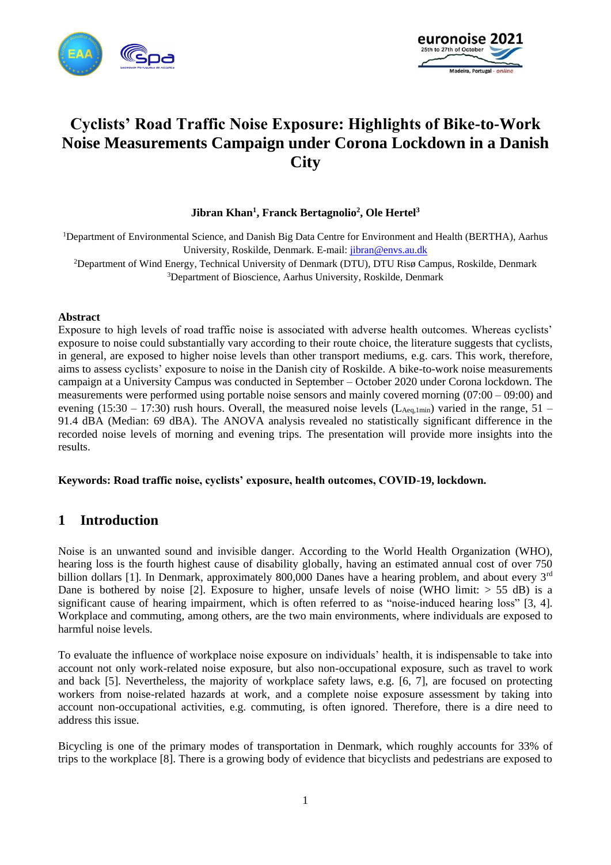



# **Cyclists' Road Traffic Noise Exposure: Highlights of Bike-to-Work Noise Measurements Campaign under Corona Lockdown in a Danish City**

#### **Jibran Khan<sup>1</sup> , Franck Bertagnolio<sup>2</sup> , Ole Hertel<sup>3</sup>**

<sup>1</sup>Department of Environmental Science, and Danish Big Data Centre for Environment and Health (BERTHA), Aarhus University, Roskilde, Denmark. E-mail: [jibran@envs.au.dk](mailto:jibran@envs.au.dk)

<sup>2</sup>Department of Wind Energy, Technical University of Denmark (DTU), DTU Risø Campus, Roskilde, Denmark <sup>3</sup>Department of Bioscience, Aarhus University, Roskilde, Denmark

#### **Abstract**

Exposure to high levels of road traffic noise is associated with adverse health outcomes. Whereas cyclists' exposure to noise could substantially vary according to their route choice, the literature suggests that cyclists, in general, are exposed to higher noise levels than other transport mediums, e.g. cars. This work, therefore, aims to assess cyclists' exposure to noise in the Danish city of Roskilde. A bike-to-work noise measurements campaign at a University Campus was conducted in September – October 2020 under Corona lockdown. The measurements were performed using portable noise sensors and mainly covered morning (07:00 – 09:00) and evening (15:30 – 17:30) rush hours. Overall, the measured noise levels ( $L_{\text{Aeq,1min}}$ ) varied in the range, 51 – 91.4 dBA (Median: 69 dBA). The ANOVA analysis revealed no statistically significant difference in the recorded noise levels of morning and evening trips. The presentation will provide more insights into the results.

#### **Keywords: Road traffic noise, cyclists' exposure, health outcomes, COVID-19, lockdown.**

### **1 Introduction**

Noise is an unwanted sound and invisible danger. According to the World Health Organization (WHO), hearing loss is the fourth highest cause of disability globally, having an estimated annual cost of over 750 billion dollars [1]. In Denmark, approximately 800,000 Danes have a hearing problem, and about every 3<sup>rd</sup> Dane is bothered by noise [2]. Exposure to higher, unsafe levels of noise (WHO limit:  $> 55$  dB) is a significant cause of hearing impairment, which is often referred to as "noise-induced hearing loss" [3, 4]. Workplace and commuting, among others, are the two main environments, where individuals are exposed to harmful noise levels.

To evaluate the influence of workplace noise exposure on individuals' health, it is indispensable to take into account not only work-related noise exposure, but also non-occupational exposure, such as travel to work and back [5]. Nevertheless, the majority of workplace safety laws, e.g. [6, 7], are focused on protecting workers from noise-related hazards at work, and a complete noise exposure assessment by taking into account non-occupational activities, e.g. commuting, is often ignored. Therefore, there is a dire need to address this issue.

Bicycling is one of the primary modes of transportation in Denmark, which roughly accounts for 33% of trips to the workplace [8]. There is a growing body of evidence that bicyclists and pedestrians are exposed to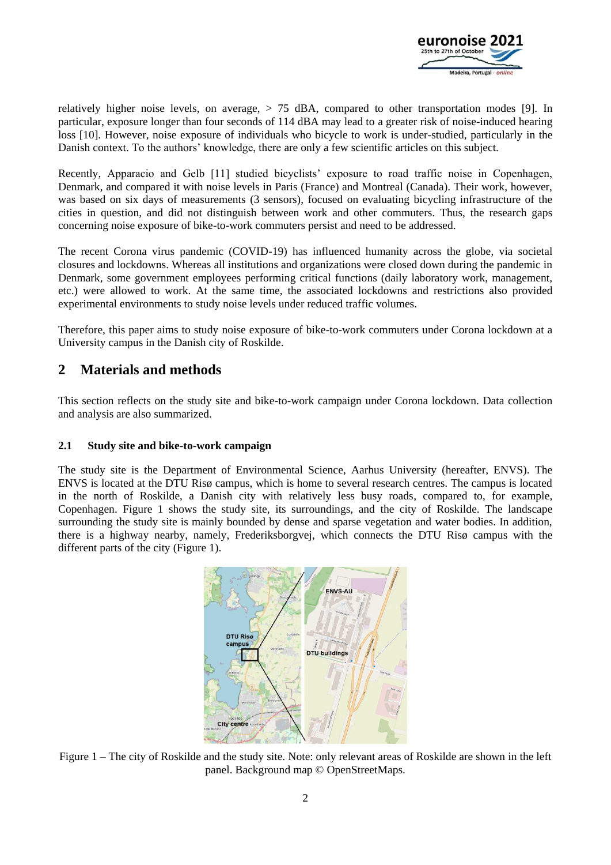

relatively higher noise levels, on average,  $> 75$  dBA, compared to other transportation modes [9]. In particular, exposure longer than four seconds of 114 dBA may lead to a greater risk of noise-induced hearing loss [10]. However, noise exposure of individuals who bicycle to work is under-studied, particularly in the Danish context. To the authors' knowledge, there are only a few scientific articles on this subject.

Recently, Apparacio and Gelb [11] studied bicyclists' exposure to road traffic noise in Copenhagen, Denmark, and compared it with noise levels in Paris (France) and Montreal (Canada). Their work, however, was based on six days of measurements (3 sensors), focused on evaluating bicycling infrastructure of the cities in question, and did not distinguish between work and other commuters. Thus, the research gaps concerning noise exposure of bike-to-work commuters persist and need to be addressed.

The recent Corona virus pandemic (COVID-19) has influenced humanity across the globe, via societal closures and lockdowns. Whereas all institutions and organizations were closed down during the pandemic in Denmark, some government employees performing critical functions (daily laboratory work, management, etc.) were allowed to work. At the same time, the associated lockdowns and restrictions also provided experimental environments to study noise levels under reduced traffic volumes.

Therefore, this paper aims to study noise exposure of bike-to-work commuters under Corona lockdown at a University campus in the Danish city of Roskilde.

# **2 Materials and methods**

This section reflects on the study site and bike-to-work campaign under Corona lockdown. Data collection and analysis are also summarized.

#### **2.1 Study site and bike-to-work campaign**

The study site is the Department of Environmental Science, Aarhus University (hereafter, ENVS). The ENVS is located at the DTU Risø campus, which is home to several research centres. The campus is located in the north of Roskilde, a Danish city with relatively less busy roads, compared to, for example, Copenhagen. Figure 1 shows the study site, its surroundings, and the city of Roskilde. The landscape surrounding the study site is mainly bounded by dense and sparse vegetation and water bodies. In addition, there is a highway nearby, namely, Frederiksborgvej, which connects the DTU Risø campus with the different parts of the city (Figure 1).



Figure 1 – The city of Roskilde and the study site. Note: only relevant areas of Roskilde are shown in the left panel. Background map © OpenStreetMaps.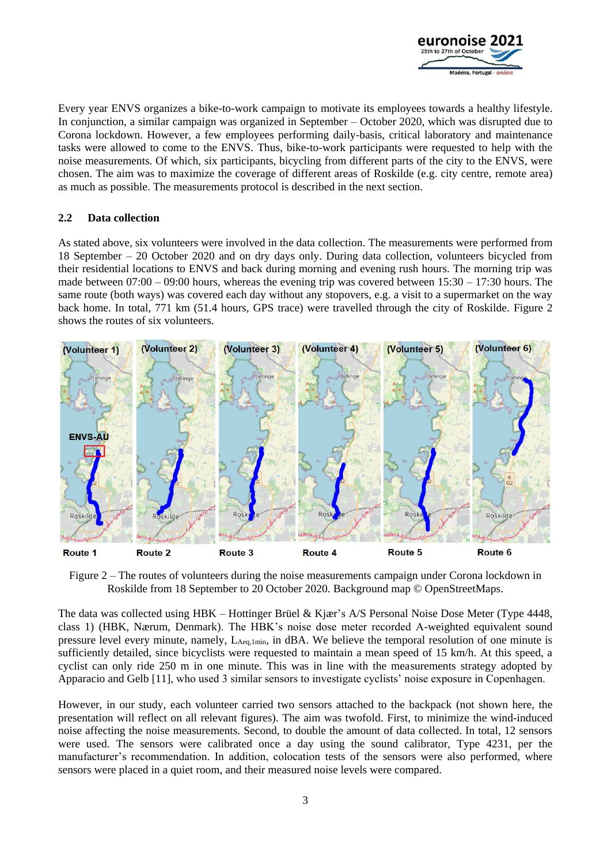

Every year ENVS organizes a bike-to-work campaign to motivate its employees towards a healthy lifestyle. In conjunction, a similar campaign was organized in September – October 2020, which was disrupted due to Corona lockdown. However, a few employees performing daily-basis, critical laboratory and maintenance tasks were allowed to come to the ENVS. Thus, bike-to-work participants were requested to help with the noise measurements. Of which, six participants, bicycling from different parts of the city to the ENVS, were chosen. The aim was to maximize the coverage of different areas of Roskilde (e.g. city centre, remote area) as much as possible. The measurements protocol is described in the next section.

#### **2.2 Data collection**

As stated above, six volunteers were involved in the data collection. The measurements were performed from 18 September – 20 October 2020 and on dry days only. During data collection, volunteers bicycled from their residential locations to ENVS and back during morning and evening rush hours. The morning trip was made between 07:00 – 09:00 hours, whereas the evening trip was covered between 15:30 – 17:30 hours. The same route (both ways) was covered each day without any stopovers, e.g. a visit to a supermarket on the way back home. In total, 771 km (51.4 hours, GPS trace) were travelled through the city of Roskilde. Figure 2 shows the routes of six volunteers.



Figure 2 – The routes of volunteers during the noise measurements campaign under Corona lockdown in Roskilde from 18 September to 20 October 2020. Background map © OpenStreetMaps.

The data was collected using HBK – Hottinger Brüel & Kjær's A/S Personal Noise Dose Meter (Type 4448, class 1) (HBK, Nærum, Denmark). The HBK's noise dose meter recorded A-weighted equivalent sound pressure level every minute, namely, LAeq,1min, in dBA. We believe the temporal resolution of one minute is sufficiently detailed, since bicyclists were requested to maintain a mean speed of 15 km/h. At this speed, a cyclist can only ride 250 m in one minute. This was in line with the measurements strategy adopted by Apparacio and Gelb [11], who used 3 similar sensors to investigate cyclists' noise exposure in Copenhagen.

However, in our study, each volunteer carried two sensors attached to the backpack (not shown here, the presentation will reflect on all relevant figures). The aim was twofold. First, to minimize the wind-induced noise affecting the noise measurements. Second, to double the amount of data collected. In total, 12 sensors were used. The sensors were calibrated once a day using the sound calibrator, Type 4231, per the manufacturer's recommendation. In addition, colocation tests of the sensors were also performed, where sensors were placed in a quiet room, and their measured noise levels were compared.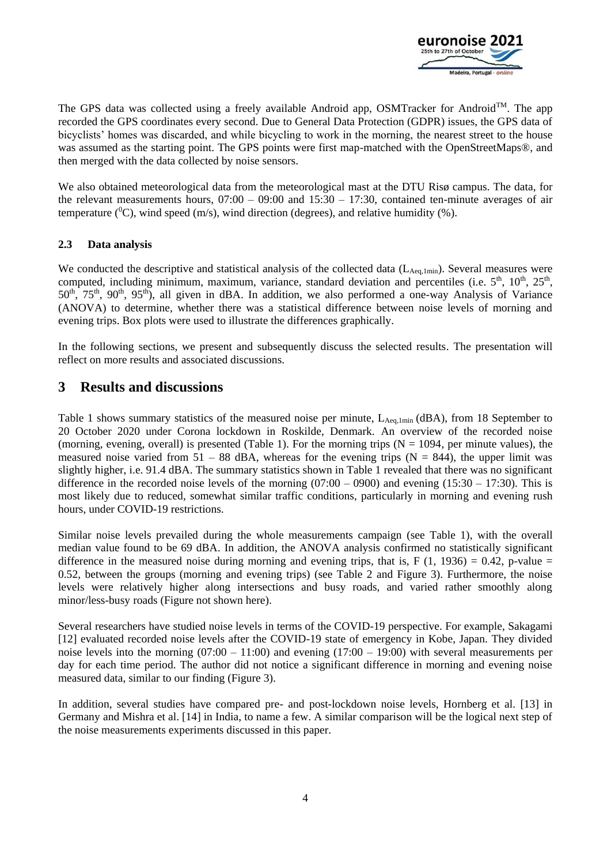

The GPS data was collected using a freely available Android app, OSMTracker for Android<sup>TM</sup>. The app recorded the GPS coordinates every second. Due to General Data Protection (GDPR) issues, the GPS data of bicyclists' homes was discarded, and while bicycling to work in the morning, the nearest street to the house was assumed as the starting point. The GPS points were first map-matched with the OpenStreetMaps®, and then merged with the data collected by noise sensors.

We also obtained meteorological data from the meteorological mast at the DTU Risø campus. The data, for the relevant measurements hours,  $07:00 - 09:00$  and  $15:30 - 17:30$ , contained ten-minute averages of air temperature ( ${}^{0}C$ ), wind speed (m/s), wind direction (degrees), and relative humidity (%).

#### **2.3 Data analysis**

We conducted the descriptive and statistical analysis of the collected data (L<sub>Aeq,1min</sub>). Several measures were computed, including minimum, maximum, variance, standard deviation and percentiles (i.e.  $5<sup>th</sup>$ ,  $10<sup>th</sup>$ ,  $25<sup>th</sup>$ ,  $50<sup>th</sup>$ ,  $75<sup>th</sup>$ ,  $90<sup>th</sup>$ ,  $95<sup>th</sup>$ ), all given in dBA. In addition, we also performed a one-way Analysis of Variance (ANOVA) to determine, whether there was a statistical difference between noise levels of morning and evening trips. Box plots were used to illustrate the differences graphically.

In the following sections, we present and subsequently discuss the selected results. The presentation will reflect on more results and associated discussions.

# **3 Results and discussions**

Table 1 shows summary statistics of the measured noise per minute, LAeq,1min (dBA), from 18 September to 20 October 2020 under Corona lockdown in Roskilde, Denmark. An overview of the recorded noise (morning, evening, overall) is presented (Table 1). For the morning trips  $(N = 1094$ , per minute values), the measured noise varied from  $51 - 88$  dBA, whereas for the evening trips (N = 844), the upper limit was slightly higher, i.e. 91.4 dBA. The summary statistics shown in Table 1 revealed that there was no significant difference in the recorded noise levels of the morning  $(07:00 - 0900)$  and evening  $(15:30 - 17:30)$ . This is most likely due to reduced, somewhat similar traffic conditions, particularly in morning and evening rush hours, under COVID-19 restrictions.

Similar noise levels prevailed during the whole measurements campaign (see Table 1), with the overall median value found to be 69 dBA. In addition, the ANOVA analysis confirmed no statistically significant difference in the measured noise during morning and evening trips, that is, F  $(1, 1936) = 0.42$ , p-value = 0.52, between the groups (morning and evening trips) (see Table 2 and Figure 3). Furthermore, the noise levels were relatively higher along intersections and busy roads, and varied rather smoothly along minor/less-busy roads (Figure not shown here).

Several researchers have studied noise levels in terms of the COVID-19 perspective. For example, Sakagami [12] evaluated recorded noise levels after the COVID-19 state of emergency in Kobe, Japan. They divided noise levels into the morning  $(07:00 - 11:00)$  and evening  $(17:00 - 19:00)$  with several measurements per day for each time period. The author did not notice a significant difference in morning and evening noise measured data, similar to our finding (Figure 3).

In addition, several studies have compared pre- and post-lockdown noise levels, Hornberg et al. [13] in Germany and Mishra et al. [14] in India, to name a few. A similar comparison will be the logical next step of the noise measurements experiments discussed in this paper.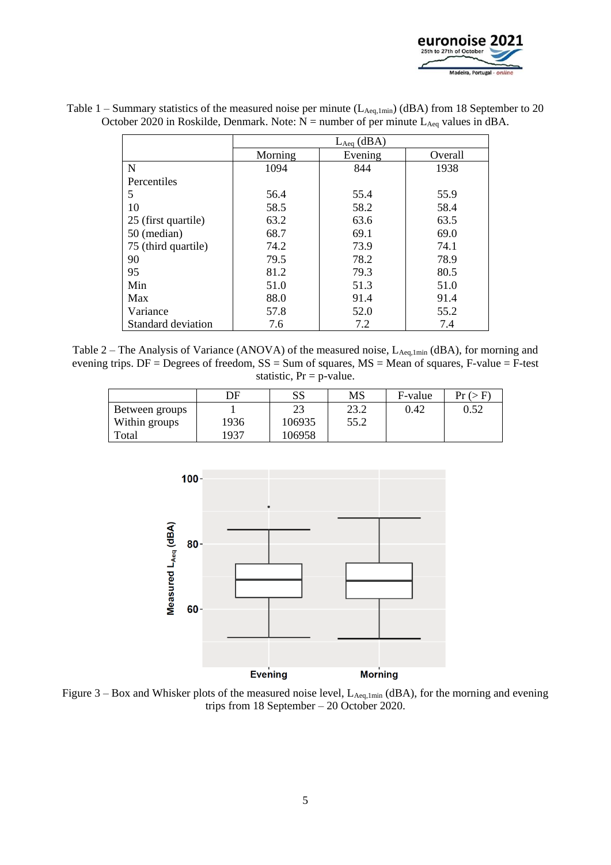

| Table 1 – Summary statistics of the measured noise per minute $(L_{\text{Aeq,1min}})$ (dBA) from 18 September to 20 |  |  |
|---------------------------------------------------------------------------------------------------------------------|--|--|
| October 2020 in Roskilde, Denmark. Note: $N =$ number of per minute $L_{Aeq}$ values in dBA.                        |  |  |

|                     | $L_{Aeq}$ (dBA) |         |         |  |  |
|---------------------|-----------------|---------|---------|--|--|
|                     | Morning         | Evening | Overall |  |  |
| $\mathbf N$         | 1094            | 844     | 1938    |  |  |
| Percentiles         |                 |         |         |  |  |
| 5                   | 56.4            | 55.4    | 55.9    |  |  |
| 10                  | 58.5            | 58.2    | 58.4    |  |  |
| 25 (first quartile) | 63.2            | 63.6    | 63.5    |  |  |
| 50 (median)         | 68.7            | 69.1    | 69.0    |  |  |
| 75 (third quartile) | 74.2            | 73.9    | 74.1    |  |  |
| 90                  | 79.5            | 78.2    | 78.9    |  |  |
| 95                  | 81.2            | 79.3    | 80.5    |  |  |
| Min                 | 51.0            | 51.3    | 51.0    |  |  |
| Max                 | 88.0            | 91.4    | 91.4    |  |  |
| Variance            | 57.8            | 52.0    | 55.2    |  |  |
| Standard deviation  | 7.6             | 7.2     | 7.4     |  |  |

Table 2 – The Analysis of Variance (ANOVA) of the measured noise, L<sub>Aeq,1min</sub> (dBA), for morning and evening trips. DF = Degrees of freedom, SS = Sum of squares, MS = Mean of squares, F-value = F-test statistic,  $Pr = p$ -value.

|                | DF   | SS     | MS   | F-value | Pr(S F) |
|----------------|------|--------|------|---------|---------|
| Between groups |      | 23     | 23.2 | 0.42    | 0.52    |
| Within groups  | 1936 | 106935 | 55.2 |         |         |
| Total          | 1937 | 106958 |      |         |         |



Figure  $3 - Box$  and Whisker plots of the measured noise level,  $L_{Aeq,1min}$  (dBA), for the morning and evening trips from 18 September – 20 October 2020.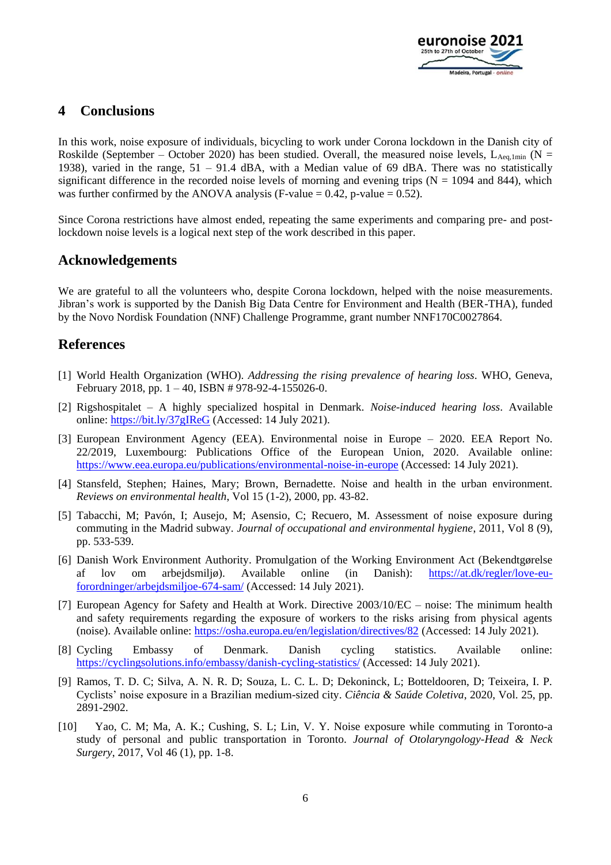

# **4 Conclusions**

In this work, noise exposure of individuals, bicycling to work under Corona lockdown in the Danish city of Roskilde (September – October 2020) has been studied. Overall, the measured noise levels,  $L_{\text{Aec.1min}}$  (N = 1938), varied in the range, 51 – 91.4 dBA, with a Median value of 69 dBA. There was no statistically significant difference in the recorded noise levels of morning and evening trips ( $N = 1094$  and 844), which was further confirmed by the ANOVA analysis (F-value =  $0.42$ , p-value =  $0.52$ ).

Since Corona restrictions have almost ended, repeating the same experiments and comparing pre- and postlockdown noise levels is a logical next step of the work described in this paper.

### **Acknowledgements**

We are grateful to all the volunteers who, despite Corona lockdown, helped with the noise measurements. Jibran's work is supported by the Danish Big Data Centre for Environment and Health (BER-THA), funded by the Novo Nordisk Foundation (NNF) Challenge Programme, grant number NNF170C0027864.

# **References**

- [1] World Health Organization (WHO). *Addressing the rising prevalence of hearing loss*. WHO, Geneva, February 2018, pp.  $1 - 40$ , ISBN # 978-92-4-155026-0.
- [2] Rigshospitalet A highly specialized hospital in Denmark*. Noise-induced hearing loss*. Available online:<https://bit.ly/37gIReG> (Accessed: 14 July 2021).
- [3] European Environment Agency (EEA). Environmental noise in Europe 2020. EEA Report No. 22/2019, Luxembourg: Publications Office of the European Union, 2020. Available online: <https://www.eea.europa.eu/publications/environmental-noise-in-europe> (Accessed: 14 July 2021).
- [4] Stansfeld, Stephen; Haines, Mary; Brown, Bernadette. Noise and health in the urban environment. *Reviews on environmental health*, Vol 15 (1-2), 2000, pp. 43-82.
- [5] Tabacchi, M; Pavón, I; Ausejo, M; Asensio, C; Recuero, M. Assessment of noise exposure during commuting in the Madrid subway. *Journal of occupational and environmental hygiene*, 2011, Vol 8 (9), pp. 533-539.
- [6] Danish Work Environment Authority. Promulgation of the Working Environment Act (Bekendtgørelse af lov om arbejdsmiljø). Available online (in Danish): [https://at.dk/regler/love-eu](https://at.dk/regler/love-eu-forordninger/arbejdsmiljoe-674-sam/)[forordninger/arbejdsmiljoe-674-sam/](https://at.dk/regler/love-eu-forordninger/arbejdsmiljoe-674-sam/) (Accessed: 14 July 2021).
- [7] European Agency for Safety and Health at Work. Directive 2003/10/EC noise: The minimum health and safety requirements regarding the exposure of workers to the risks arising from physical agents (noise). Available online:<https://osha.europa.eu/en/legislation/directives/82> (Accessed: 14 July 2021).
- [8] Cycling Embassy of Denmark. Danish cycling statistics. Available online: <https://cyclingsolutions.info/embassy/danish-cycling-statistics/> (Accessed: 14 July 2021).
- [9] Ramos, T. D. C; Silva, A. N. R. D; Souza, L. C. L. D; Dekoninck, L; Botteldooren, D; Teixeira, I. P. Cyclists' noise exposure in a Brazilian medium-sized city. *Ciência & Saúde Coletiva*, 2020, Vol. 25, pp. 2891-2902.
- [10] Yao, C. M; Ma, A. K.; Cushing, S. L; Lin, V. Y. Noise exposure while commuting in Toronto-a study of personal and public transportation in Toronto. *Journal of Otolaryngology-Head & Neck Surgery*, 2017, Vol 46 (1), pp. 1-8.